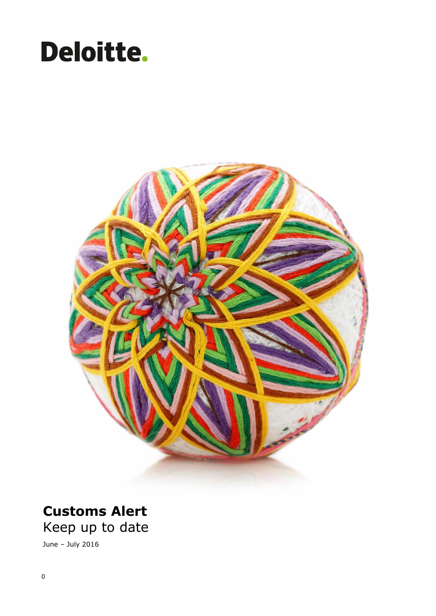# Deloitte.



### **Customs Alert** Keep up to date

June – July 2016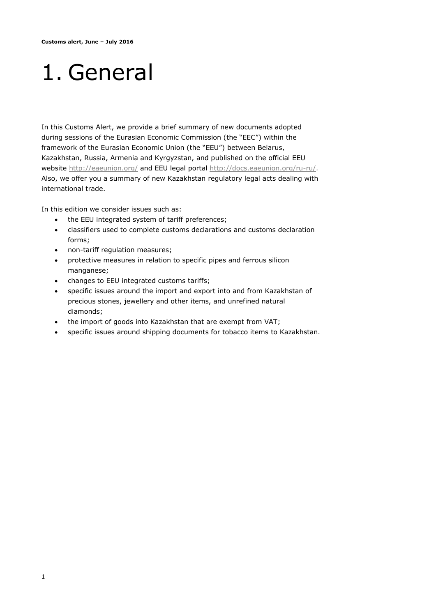## 1. General

In this Customs Alert, we provide a brief summary of new documents adopted during sessions of the Eurasian Economic Commission (the "EEC") within the framework of the Eurasian Economic Union (the "EEU") between Belarus, Kazakhstan, Russia, Armenia and Kyrgyzstan, and published on the official EEU website http://eaeunion.org/ and EEU legal portal http://docs.eaeunion.org/ru-ru/. Also, we offer you a summary of new Kazakhstan regulatory legal acts dealing with international trade.

In this edition we consider issues such as:

- the EEU integrated system of tariff preferences;
- classifiers used to complete customs declarations and customs declaration forms;
- non-tariff regulation measures;
- protective measures in relation to specific pipes and ferrous silicon manganese;
- changes to EEU integrated customs tariffs;
- specific issues around the import and export into and from Kazakhstan of precious stones, jewellery and other items, and unrefined natural diamonds;
- the import of goods into Kazakhstan that are exempt from VAT;
- specific issues around shipping documents for tobacco items to Kazakhstan.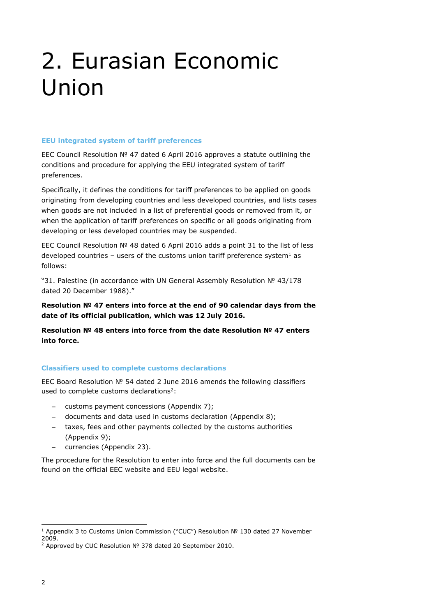### 2. Eurasian Economic Union

#### **EEU integrated system of tariff preferences**

EEC Council Resolution № 47 dated 6 April 2016 approves a statute outlining the conditions and procedure for applying the EEU integrated system of tariff preferences.

Specifically, it defines the conditions for tariff preferences to be applied on goods originating from developing countries and less developed countries, and lists cases when goods are not included in a list of preferential goods or removed from it, or when the application of tariff preferences on specific or all goods originating from developing or less developed countries may be suspended.

EEC Council Resolution № 48 dated 6 April 2016 adds a point 31 to the list of less developed countries – users of the customs union tariff preference system<sup>1</sup> as follows:

"31. Palestine (in accordance with UN General Assembly Resolution № 43/178 dated 20 December 1988)."

**Resolution № 47 enters into force at the end of 90 calendar days from the date of its official publication, which was 12 July 2016.**

**Resolution № 48 enters into force from the date Resolution № 47 enters into force.**

#### **Classifiers used to complete customs declarations**

EEC Board Resolution № 54 dated 2 June 2016 amends the following classifiers used to complete customs declarations<sup>2</sup>:

- customs payment concessions (Appendix 7);
- documents and data used in customs declaration (Appendix 8);
- taxes, fees and other payments collected by the customs authorities (Appendix 9);
- currencies (Appendix 23).

The procedure for the Resolution to enter into force and the full documents can be found on the official EEC website and EEU legal website.

ł

<sup>1</sup> Appendix 3 to Customs Union Commission ("CUC") Resolution № 130 dated 27 November 2009.

<sup>2</sup> Approved by CUC Resolution № 378 dated 20 September 2010.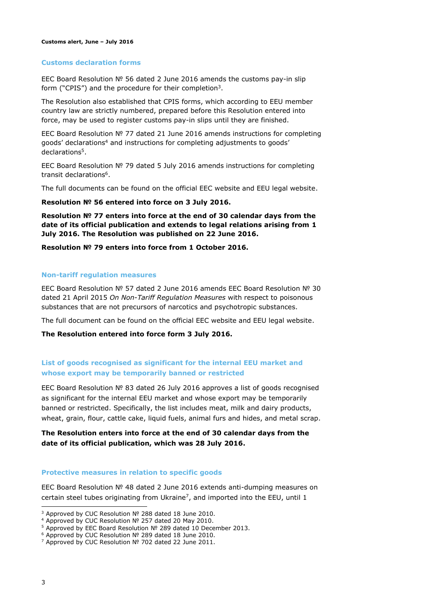#### **Customs declaration forms**

EEC Board Resolution № 56 dated 2 June 2016 amends the customs pay-in slip form ("CPIS") and the procedure for their completion<sup>3</sup>.

The Resolution also established that CPIS forms, which according to EEU member country law are strictly numbered, prepared before this Resolution entered into force, may be used to register customs pay-in slips until they are finished.

EEC Board Resolution № 77 dated 21 June 2016 amends instructions for completing goods' declarations<sup>4</sup> and instructions for completing adjustments to goods' declarations<sup>5</sup>.

EEC Board Resolution № 79 dated 5 July 2016 amends instructions for completing transit declarations<sup>6</sup>.

The full documents can be found on the official EEC website and EEU legal website.

#### **Resolution № 56 entered into force on 3 July 2016.**

**Resolution № 77 enters into force at the end of 30 calendar days from the date of its official publication and extends to legal relations arising from 1 July 2016. The Resolution was published on 22 June 2016.**

**Resolution № 79 enters into force from 1 October 2016.**

#### **Non-tariff regulation measures**

EEC Board Resolution № 57 dated 2 June 2016 amends EEC Board Resolution № 30 dated 21 April 2015 *On Non-Tariff Regulation Measures* with respect to poisonous substances that are not precursors of narcotics and psychotropic substances.

The full document can be found on the official EEC website and EEU legal website.

**The Resolution entered into force form 3 July 2016.**

#### **List of goods recognised as significant for the internal EEU market and whose export may be temporarily banned or restricted**

EEC Board Resolution № 83 dated 26 July 2016 approves a list of goods recognised as significant for the internal EEU market and whose export may be temporarily banned or restricted. Specifically, the list includes meat, milk and dairy products, wheat, grain, flour, cattle cake, liquid fuels, animal furs and hides, and metal scrap.

#### **The Resolution enters into force at the end of 30 calendar days from the date of its official publication, which was 28 July 2016.**

#### **Protective measures in relation to specific goods**

EEC Board Resolution № 48 dated 2 June 2016 extends anti-dumping measures on certain steel tubes originating from Ukraine<sup>7</sup>, and imported into the EEU, until 1

ł

<sup>3</sup> Approved by CUC Resolution № 288 dated 18 June 2010.

<sup>4</sup> Approved by CUC Resolution № 257 dated 20 May 2010.

<sup>5</sup> Approved by EEC Board Resolution № 289 dated 10 December 2013.

<sup>6</sup> Approved by CUC Resolution № 289 dated 18 June 2010.

<sup>7</sup> Approved by CUC Resolution № 702 dated 22 June 2011.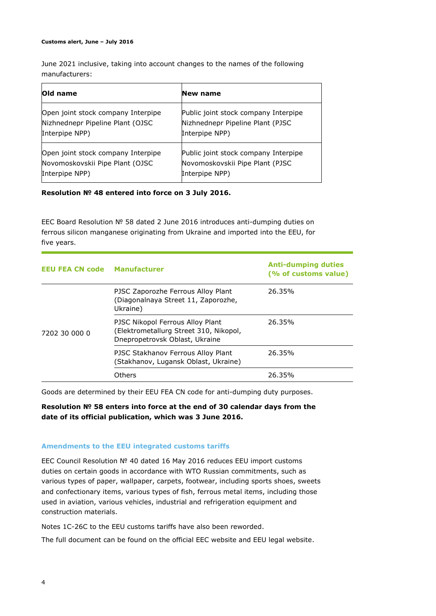#### **Customs alert, June – July 2016**

June 2021 inclusive, taking into account changes to the names of the following manufacturers:

| Old name                           | New name                             |
|------------------------------------|--------------------------------------|
| Open joint stock company Interpipe | Public joint stock company Interpipe |
| Nizhnednepr Pipeline Plant (OJSC   | Nizhnednepr Pipeline Plant (PJSC     |
| Interpipe NPP)                     | Interpipe NPP)                       |
| Open joint stock company Interpipe | Public joint stock company Interpipe |
| Novomoskovskii Pipe Plant (OJSC    | Novomoskovskii Pipe Plant (PJSC      |
| Interpipe NPP)                     | Interpipe NPP)                       |

**Resolution № 48 entered into force on 3 July 2016.**

EEC Board Resolution № 58 dated 2 June 2016 introduces anti-dumping duties on ferrous silicon manganese originating from Ukraine and imported into the EEU, for five years.

| <b>EEU FEA CN code Manufacturer</b> |                                                                                                              | <b>Anti-dumping duties</b><br>(% of customs value) |
|-------------------------------------|--------------------------------------------------------------------------------------------------------------|----------------------------------------------------|
| 7202 30 000 0                       | PJSC Zaporozhe Ferrous Alloy Plant<br>(Diagonalnaya Street 11, Zaporozhe,<br>Ukraine)                        | 26.35%                                             |
|                                     | PJSC Nikopol Ferrous Alloy Plant<br>(Elektrometallurg Street 310, Nikopol,<br>Dnepropetrovsk Oblast, Ukraine | 26.35%                                             |
|                                     | PJSC Stakhanov Ferrous Alloy Plant<br>(Stakhanov, Lugansk Oblast, Ukraine)                                   | 26.35%                                             |
|                                     | Others                                                                                                       | 26.35%                                             |

Goods are determined by their EEU FEA CN code for anti-dumping duty purposes.

**Resolution № 58 enters into force at the end of 30 calendar days from the date of its official publication, which was 3 June 2016.**

#### **Amendments to the EEU integrated customs tariffs**

EEC Council Resolution № 40 dated 16 May 2016 reduces EEU import customs duties on certain goods in accordance with WTO Russian commitments, such as various types of paper, wallpaper, carpets, footwear, including sports shoes, sweets and confectionary items, various types of fish, ferrous metal items, including those used in aviation, various vehicles, industrial and refrigeration equipment and construction materials.

Notes 1C-26C to the EEU customs tariffs have also been reworded.

The full document can be found on the official EEC website and EEU legal website.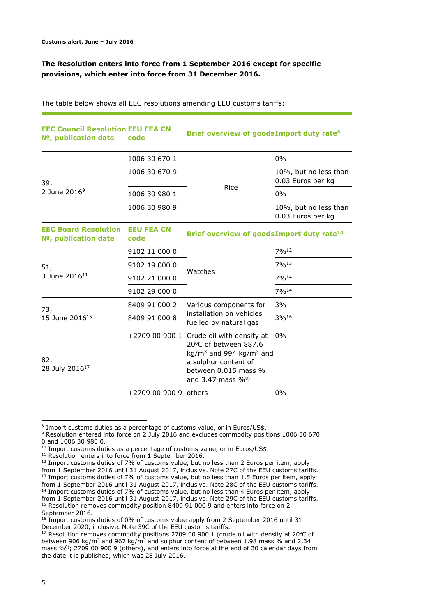#### **The Resolution enters into force from 1 September 2016 except for specific provisions, which enter into force from 31 December 2016.**

The table below shows all EEC resolutions amending EEU customs tariffs:

| <b>EEC Council Resolution EEU FEA CN</b><br>Nº, publication date<br>code |                           | Brief overview of goods Import duty rate <sup>8</sup>                                                                                                                                                    |                                            |
|--------------------------------------------------------------------------|---------------------------|----------------------------------------------------------------------------------------------------------------------------------------------------------------------------------------------------------|--------------------------------------------|
|                                                                          | 1006 30 670 1             |                                                                                                                                                                                                          | $0\%$                                      |
| 39,<br>2 June 2016 <sup>9</sup>                                          | 1006 30 670 9             | Rice                                                                                                                                                                                                     | 10%, but no less than<br>0.03 Euros per kg |
|                                                                          | 1006 30 980 1             |                                                                                                                                                                                                          | 0%                                         |
|                                                                          | 1006 30 980 9             |                                                                                                                                                                                                          | 10%, but no less than<br>0.03 Euros per kg |
| <b>EEC Board Resolution</b><br>Nº, publication date                      | <b>EEU FEA CN</b><br>code | Brief overview of goods Import duty rate <sup>10</sup>                                                                                                                                                   |                                            |
| 51,<br>3 June 2016 <sup>11</sup>                                         | 9102 11 000 0             | Watches                                                                                                                                                                                                  | 7%12                                       |
|                                                                          | 9102 19 000 0             |                                                                                                                                                                                                          | $7\%$ <sup>13</sup>                        |
|                                                                          | 9102 21 000 0             |                                                                                                                                                                                                          | 7%14                                       |
|                                                                          | 9102 29 000 0             |                                                                                                                                                                                                          | $7\%$ <sup>14</sup>                        |
| 73,<br>15 June 2016 <sup>15</sup>                                        | 8409 91 000 2             | Various components for                                                                                                                                                                                   | 3%                                         |
|                                                                          | 8409 91 000 8             | installation on vehicles<br>fuelled by natural gas                                                                                                                                                       | 3%16                                       |
| 82,<br>28 July 2016 <sup>17</sup>                                        |                           | +2709 00 900 1 Crude oil with density at<br>20°C of between 887.6<br>kg/m <sup>3</sup> and 994 kg/m <sup>3</sup> and<br>a sulphur content of<br>between 0.015 mass %<br>and 3.47 mass $\%$ <sup>8)</sup> | $0\%$                                      |
|                                                                          | +2709 00 900 9 others     |                                                                                                                                                                                                          | $0\%$                                      |

ł <sup>8</sup> Import customs duties as a percentage of customs value, or in Euros/US\$.

<sup>9</sup> Resolution entered into force on 2 July 2016 and excludes commodity positions 1006 30 670 0 and 1006 30 980 0.

<sup>&</sup>lt;sup>10</sup> Import customs duties as a percentage of customs value, or in Euros/US\$.

<sup>&</sup>lt;sup>11</sup> Resolution enters into force from 1 September 2016.

<sup>&</sup>lt;sup>12</sup> Import customs duties of 7% of customs value, but no less than 2 Euros per item, apply from 1 September 2016 until 31 August 2017, inclusive. Note 27C of the EEU customs tariffs. <sup>13</sup> Import customs duties of 7% of customs value, but no less than 1.5 Euros per item, apply from 1 September 2016 until 31 August 2017, inclusive. Note 28C of the EEU customs tariffs. <sup>14</sup> Import customs duties of 7% of customs value, but no less than 4 Euros per item, apply from 1 September 2016 until 31 August 2017, inclusive. Note 29C of the EEU customs tariffs. <sup>15</sup> Resolution removes commodity position 8409 91 000 9 and enters into force on 2 September 2016.

<sup>&</sup>lt;sup>16</sup> Import customs duties of 0% of customs value apply from 2 September 2016 until 31 December 2020, inclusive. Note 39С of the EEU customs tariffs.

<sup>&</sup>lt;sup>17</sup> Resolution removes commodity positions 2709 00 900 1 (crude oil with density at 20°C of between 906 kg/m<sup>3</sup> and 967 kg/m<sup>3</sup> and sulphur content of between 1.98 mass % and 2.34 mass %<sup>8)</sup>; 2709 00 900 9 (others), and enters into force at the end of 30 calendar days from the date it is published, which was 28 July 2016.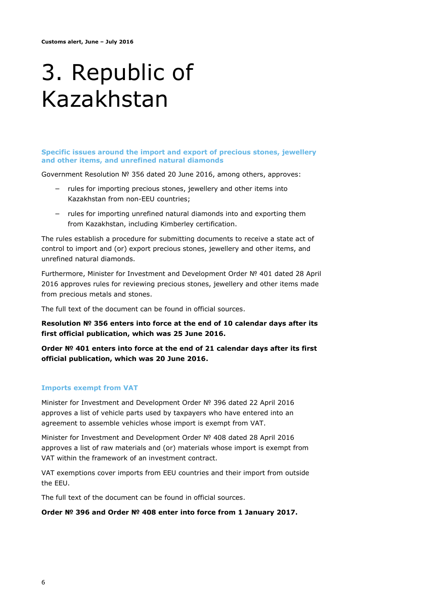### 3. Republic of Kazakhstan

**Specific issues around the import and export of precious stones, jewellery and other items, and unrefined natural diamonds**

Government Resolution № 356 dated 20 June 2016, among others, approves:

- rules for importing precious stones, jewellery and other items into Kazakhstan from non-EEU countries;
- − rules for importing unrefined natural diamonds into and exporting them from Kazakhstan, including Kimberley certification.

The rules establish a procedure for submitting documents to receive a state act of control to import and (or) export precious stones, jewellery and other items, and unrefined natural diamonds.

Furthermore, Minister for Investment and Development Order № 401 dated 28 April 2016 approves rules for reviewing precious stones, jewellery and other items made from precious metals and stones.

The full text of the document can be found in official sources.

**Resolution № 356 enters into force at the end of 10 calendar days after its first official publication, which was 25 June 2016.**

**Order № 401 enters into force at the end of 21 calendar days after its first official publication, which was 20 June 2016.**

#### **Imports exempt from VAT**

Minister for Investment and Development Order № 396 dated 22 April 2016 approves a list of vehicle parts used by taxpayers who have entered into an agreement to assemble vehicles whose import is exempt from VAT.

Minister for Investment and Development Order № 408 dated 28 April 2016 approves a list of raw materials and (or) materials whose import is exempt from VAT within the framework of an investment contract.

VAT exemptions cover imports from EEU countries and their import from outside the EEU.

The full text of the document can be found in official sources.

**Order № 396 and Order № 408 enter into force from 1 January 2017.**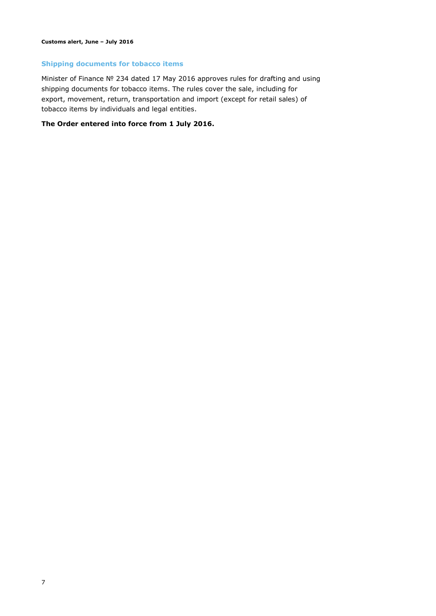#### **Shipping documents for tobacco items**

Minister of Finance № 234 dated 17 May 2016 approves rules for drafting and using shipping documents for tobacco items. The rules cover the sale, including for export, movement, return, transportation and import (except for retail sales) of tobacco items by individuals and legal entities.

#### **The Order entered into force from 1 July 2016.**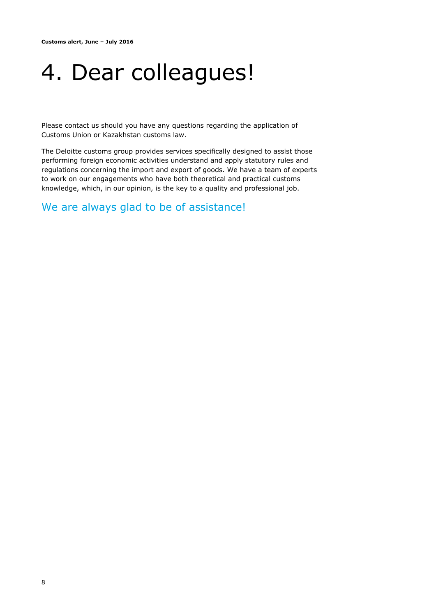### 4. Dear colleagues!

Please contact us should you have any questions regarding the application of Customs Union or Kazakhstan customs law.

The Deloitte customs group provides services specifically designed to assist those performing foreign economic activities understand and apply statutory rules and regulations concerning the import and export of goods. We have a team of experts to work on our engagements who have both theoretical and practical customs knowledge, which, in our opinion, is the key to a quality and professional job.

We are always glad to be of assistance!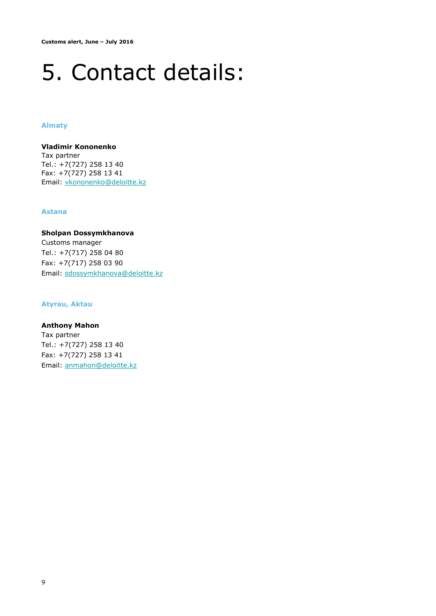### 5. Contact details:

#### **Almaty**

**Vladimir Kononenko** Tax partner Tel.: +7(727) 258 13 40 Fax: +7(727) 258 13 41 Email: [vkononenko@deloitte.kz](mailto:vkononenko@deloitte.kz)

#### **Astana**

**Sholpan Dossymkhanova** Customs manager Tel.: +7(717) 258 04 80 Fax: +7(717) 258 03 90 Email: [sdossymkhanova@deloitte.kz](mailto:sdossymkhanova@deloitte.kz)

#### **Atyrau, Aktau**

**Anthony Mahon** Tax partner Tel.: +7(727) 258 13 40 Fax: +7(727) 258 13 41 Email: [anmahon@deloitte.kz](mailto:anmahon@deloitte.kz)